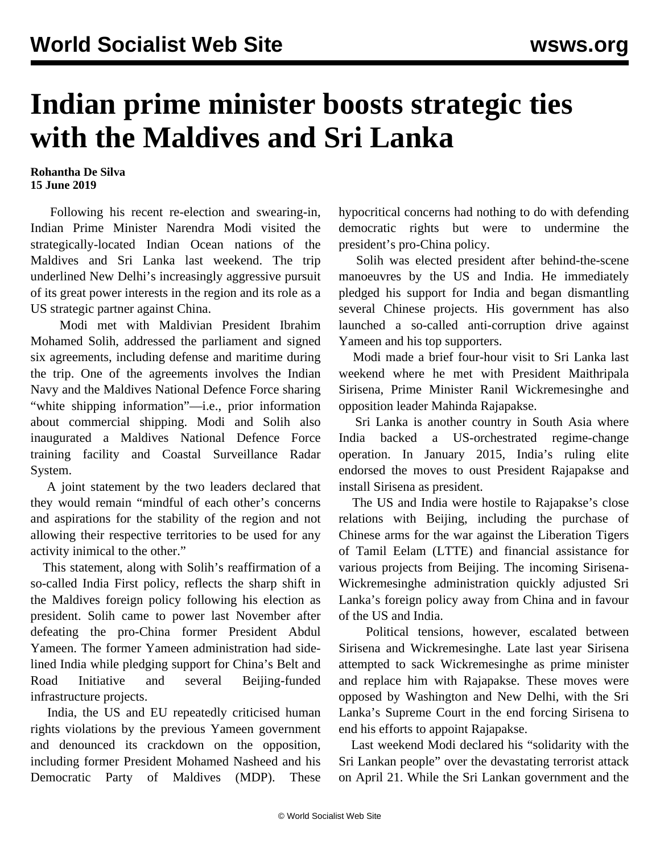## **Indian prime minister boosts strategic ties with the Maldives and Sri Lanka**

## **Rohantha De Silva 15 June 2019**

 Following his recent re-election and swearing-in, Indian Prime Minister Narendra Modi visited the strategically-located Indian Ocean nations of the Maldives and Sri Lanka last weekend. The trip underlined New Delhi's increasingly aggressive pursuit of its great power interests in the region and its role as a US strategic partner against China.

 Modi met with Maldivian President Ibrahim Mohamed Solih, addressed the parliament and signed six agreements, including defense and maritime during the trip. One of the agreements involves the Indian Navy and the Maldives National Defence Force sharing "white shipping information"—i.e., prior information about commercial shipping. Modi and Solih also inaugurated a Maldives National Defence Force training facility and Coastal Surveillance Radar System.

 A joint statement by the two leaders declared that they would remain "mindful of each other's concerns and aspirations for the stability of the region and not allowing their respective territories to be used for any activity inimical to the other."

 This statement, along with Solih's reaffirmation of a so-called India First policy, reflects the sharp shift in the Maldives foreign policy following his election as president. Solih came to power last November after defeating the pro-China former President Abdul Yameen. The former Yameen administration had sidelined India while pledging support for China's Belt and Road Initiative and several Beijing-funded infrastructure projects.

 India, the US and EU repeatedly criticised human rights violations by the previous Yameen government and denounced its crackdown on the opposition, including former President Mohamed Nasheed and his Democratic Party of Maldives (MDP). These

hypocritical concerns had nothing to do with defending democratic rights but were to undermine the president's pro-China policy.

 Solih was elected president after behind-the-scene manoeuvres by the US and India. He immediately pledged his support for India and began dismantling several Chinese projects. His government has also launched a so-called anti-corruption drive against Yameen and his top supporters.

 Modi made a brief four-hour visit to Sri Lanka last weekend where he met with President Maithripala Sirisena, Prime Minister Ranil Wickremesinghe and opposition leader Mahinda Rajapakse.

 Sri Lanka is another country in South Asia where India backed a US-orchestrated regime-change operation. In January 2015, India's ruling elite endorsed the moves to oust President Rajapakse and install Sirisena as president.

 The US and India were hostile to Rajapakse's close relations with Beijing, including the purchase of Chinese arms for the war against the Liberation Tigers of Tamil Eelam (LTTE) and financial assistance for various projects from Beijing. The incoming Sirisena-Wickremesinghe administration quickly adjusted Sri Lanka's foreign policy away from China and in favour of the US and India.

 Political tensions, however, escalated between Sirisena and Wickremesinghe. Late last year Sirisena attempted to sack Wickremesinghe as prime minister and replace him with Rajapakse. These moves were opposed by Washington and New Delhi, with the Sri Lanka's Supreme Court in the end forcing Sirisena to end his efforts to appoint Rajapakse.

 Last weekend Modi declared his "solidarity with the Sri Lankan people" over the devastating terrorist attack on April 21. While the Sri Lankan government and the